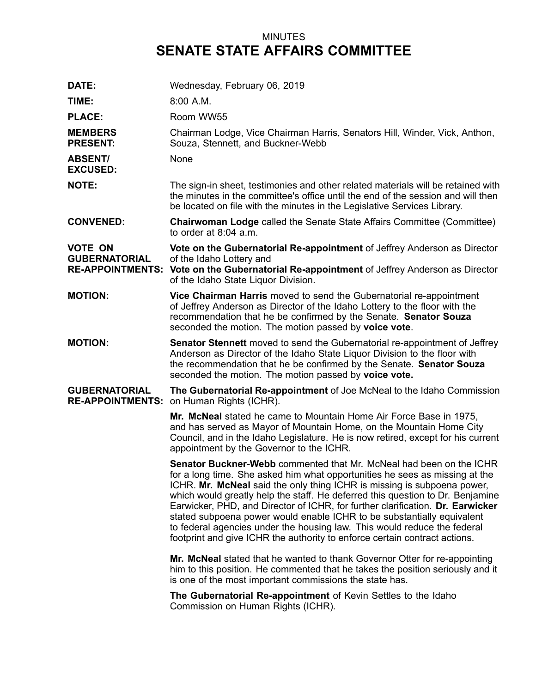## MINUTES **SENATE STATE AFFAIRS COMMITTEE**

| DATE:                             | Wednesday, February 06, 2019                                                                                                                                                                                                                                                                                                                                                                                                                                                                                                                                                                                                                 |
|-----------------------------------|----------------------------------------------------------------------------------------------------------------------------------------------------------------------------------------------------------------------------------------------------------------------------------------------------------------------------------------------------------------------------------------------------------------------------------------------------------------------------------------------------------------------------------------------------------------------------------------------------------------------------------------------|
| TIME:                             | 8:00 A.M.                                                                                                                                                                                                                                                                                                                                                                                                                                                                                                                                                                                                                                    |
| <b>PLACE:</b>                     | Room WW55                                                                                                                                                                                                                                                                                                                                                                                                                                                                                                                                                                                                                                    |
| <b>MEMBERS</b><br><b>PRESENT:</b> | Chairman Lodge, Vice Chairman Harris, Senators Hill, Winder, Vick, Anthon,<br>Souza, Stennett, and Buckner-Webb                                                                                                                                                                                                                                                                                                                                                                                                                                                                                                                              |
| <b>ABSENT/</b><br><b>EXCUSED:</b> | None                                                                                                                                                                                                                                                                                                                                                                                                                                                                                                                                                                                                                                         |
| <b>NOTE:</b>                      | The sign-in sheet, testimonies and other related materials will be retained with<br>the minutes in the committee's office until the end of the session and will then<br>be located on file with the minutes in the Legislative Services Library.                                                                                                                                                                                                                                                                                                                                                                                             |
| <b>CONVENED:</b>                  | <b>Chairwoman Lodge called the Senate State Affairs Committee (Committee)</b><br>to order at 8:04 a.m.                                                                                                                                                                                                                                                                                                                                                                                                                                                                                                                                       |
| VOTE ON<br><b>GUBERNATORIAL</b>   | Vote on the Gubernatorial Re-appointment of Jeffrey Anderson as Director<br>of the Idaho Lottery and<br><b>RE-APPOINTMENTS: Vote on the Gubernatorial Re-appointment of Jeffrey Anderson as Director</b><br>of the Idaho State Liquor Division.                                                                                                                                                                                                                                                                                                                                                                                              |
| <b>MOTION:</b>                    | Vice Chairman Harris moved to send the Gubernatorial re-appointment<br>of Jeffrey Anderson as Director of the Idaho Lottery to the floor with the<br>recommendation that he be confirmed by the Senate. Senator Souza<br>seconded the motion. The motion passed by voice vote.                                                                                                                                                                                                                                                                                                                                                               |
| <b>MOTION:</b>                    | <b>Senator Stennett</b> moved to send the Gubernatorial re-appointment of Jeffrey<br>Anderson as Director of the Idaho State Liquor Division to the floor with<br>the recommendation that he be confirmed by the Senate. Senator Souza<br>seconded the motion. The motion passed by voice vote.                                                                                                                                                                                                                                                                                                                                              |
| GUBERNATORIAL                     | The Gubernatorial Re-appointment of Joe McNeal to the Idaho Commission<br><b>RE-APPOINTMENTS: on Human Rights (ICHR).</b>                                                                                                                                                                                                                                                                                                                                                                                                                                                                                                                    |
|                                   | Mr. McNeal stated he came to Mountain Home Air Force Base in 1975,<br>and has served as Mayor of Mountain Home, on the Mountain Home City<br>Council, and in the Idaho Legislature. He is now retired, except for his current<br>appointment by the Governor to the ICHR.                                                                                                                                                                                                                                                                                                                                                                    |
|                                   | <b>Senator Buckner-Webb</b> commented that Mr. McNeal had been on the ICHR<br>for a long time. She asked him what opportunities he sees as missing at the<br>ICHR. Mr. McNeal said the only thing ICHR is missing is subpoena power,<br>which would greatly help the staff. He deferred this question to Dr. Benjamine<br>Earwicker, PHD, and Director of ICHR, for further clarification. Dr. Earwicker<br>stated subpoena power would enable ICHR to be substantially equivalent<br>to federal agencies under the housing law. This would reduce the federal<br>footprint and give ICHR the authority to enforce certain contract actions. |
|                                   | Mr. McNeal stated that he wanted to thank Governor Otter for re-appointing<br>him to this position. He commented that he takes the position seriously and it<br>is one of the most important commissions the state has.                                                                                                                                                                                                                                                                                                                                                                                                                      |
|                                   | The Gubernatorial Re-appointment of Kevin Settles to the Idaho<br>Commission on Human Rights (ICHR).                                                                                                                                                                                                                                                                                                                                                                                                                                                                                                                                         |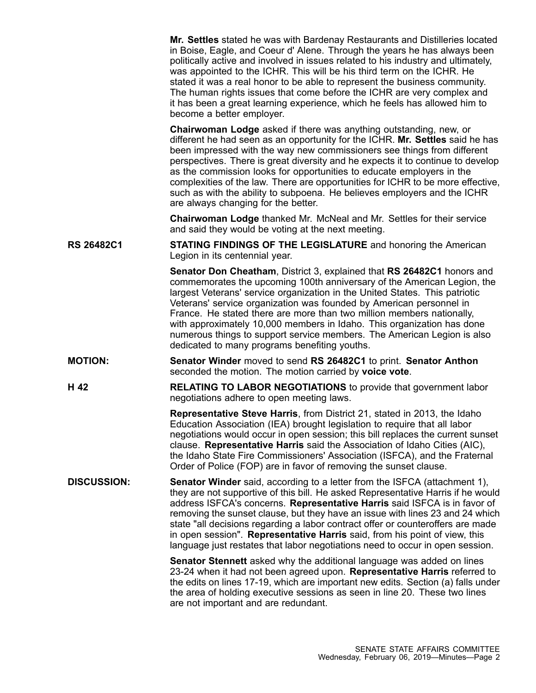**Mr. Settles** stated he was with Bardenay Restaurants and Distilleries located in Boise, Eagle, and Coeur d' Alene. Through the years he has always been politically active and involved in issues related to his industry and ultimately, was appointed to the ICHR. This will be his third term on the ICHR. He stated it was <sup>a</sup> real honor to be able to represent the business community. The human rights issues that come before the ICHR are very complex and it has been <sup>a</sup> great learning experience, which he feels has allowed him to become <sup>a</sup> better employer.

**Chairwoman Lodge** asked if there was anything outstanding, new, or different he had seen as an opportunity for the ICHR. **Mr. Settles** said he has been impressed with the way new commissioners see things from different perspectives. There is great diversity and he expects it to continue to develop as the commission looks for opportunities to educate employers in the complexities of the law. There are opportunities for ICHR to be more effective, such as with the ability to subpoena. He believes employers and the ICHR are always changing for the better.

**Chairwoman Lodge** thanked Mr. McNeal and Mr. Settles for their service and said they would be voting at the next meeting.

**RS 26482C1 STATING FINDINGS OF THE LEGISLATURE** and honoring the American Legion in its centennial year.

> **Senator Don Cheatham**, District 3, explained that **RS 26482C1** honors and commemorates the upcoming 100th anniversary of the American Legion, the largest Veterans' service organization in the United States. This patriotic Veterans' service organization was founded by American personnel in France. He stated there are more than two million members nationally, with approximately 10,000 members in Idaho. This organization has done numerous things to support service members. The American Legion is also dedicated to many programs benefiting youths.

- **MOTION: Senator Winder** moved to send **RS 26482C1** to print. **Senator Anthon** seconded the motion. The motion carried by **voice vote**.
- **H 42 RELATING TO LABOR NEGOTIATIONS** to provide that government labor negotiations adhere to open meeting laws.

**Representative Steve Harris**, from District 21, stated in 2013, the Idaho Education Association (IEA) brought legislation to require that all labor negotiations would occur in open session; this bill replaces the current sunset clause. **Representative Harris** said the Association of Idaho Cities (AIC), the Idaho State Fire Commissioners' Association (ISFCA), and the Fraternal Order of Police (FOP) are in favor of removing the sunset clause.

**DISCUSSION: Senator Winder** said, according to <sup>a</sup> letter from the ISFCA (attachment 1), they are not supportive of this bill. He asked Representative Harris if he would address ISFCA's concerns. **Representative Harris** said ISFCA is in favor of removing the sunset clause, but they have an issue with lines 23 and 24 which state "all decisions regarding <sup>a</sup> labor contract offer or counteroffers are made in open session". **Representative Harris** said, from his point of view, this language just restates that labor negotiations need to occur in open session.

> **Senator Stennett** asked why the additional language was added on lines 23-24 when it had not been agreed upon. **Representative Harris** referred to the edits on lines 17-19, which are important new edits. Section (a) falls under the area of holding executive sessions as seen in line 20. These two lines are not important and are redundant.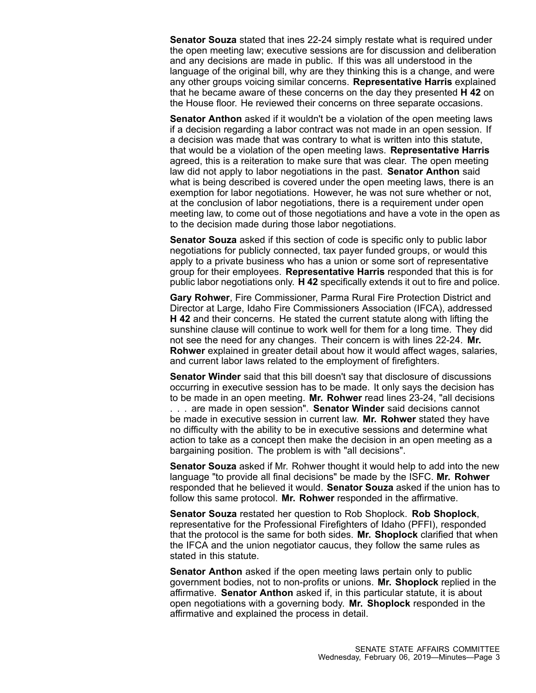**Senator Souza** stated that ines 22-24 simply restate what is required under the open meeting law; executive sessions are for discussion and deliberation and any decisions are made in public. If this was all understood in the language of the original bill, why are they thinking this is <sup>a</sup> change, and were any other groups voicing similar concerns. **Representative Harris** explained that he became aware of these concerns on the day they presented **H 42** on the House floor. He reviewed their concerns on three separate occasions.

**Senator Anthon** asked if it wouldn't be <sup>a</sup> violation of the open meeting laws if <sup>a</sup> decision regarding <sup>a</sup> labor contract was not made in an open session. If <sup>a</sup> decision was made that was contrary to what is written into this statute, that would be <sup>a</sup> violation of the open meeting laws. **Representative Harris** agreed, this is <sup>a</sup> reiteration to make sure that was clear. The open meeting law did not apply to labor negotiations in the past. **Senator Anthon** said what is being described is covered under the open meeting laws, there is an exemption for labor negotiations. However, he was not sure whether or not, at the conclusion of labor negotiations, there is <sup>a</sup> requirement under open meeting law, to come out of those negotiations and have <sup>a</sup> vote in the open as to the decision made during those labor negotiations.

**Senator Souza** asked if this section of code is specific only to public labor negotiations for publicly connected, tax payer funded groups, or would this apply to <sup>a</sup> private business who has <sup>a</sup> union or some sort of representative group for their employees. **Representative Harris** responded that this is for public labor negotiations only. **H 42** specifically extends it out to fire and police.

**Gary Rohwer**, Fire Commissioner, Parma Rural Fire Protection District and Director at Large, Idaho Fire Commissioners Association (IFCA), addressed **H 42** and their concerns. He stated the current statute along with lifting the sunshine clause will continue to work well for them for <sup>a</sup> long time. They did not see the need for any changes. Their concern is with lines 22-24. **Mr. Rohwer** explained in greater detail about how it would affect wages, salaries, and current labor laws related to the employment of firefighters.

**Senator Winder** said that this bill doesn't say that disclosure of discussions occurring in executive session has to be made. It only says the decision has to be made in an open meeting. **Mr. Rohwer** read lines 23-24, "all decisions . . . are made in open session". **Senator Winder** said decisions cannot be made in executive session in current law. **Mr. Rohwer** stated they have no difficulty with the ability to be in executive sessions and determine what action to take as <sup>a</sup> concept then make the decision in an open meeting as <sup>a</sup> bargaining position. The problem is with "all decisions".

**Senator Souza** asked if Mr. Rohwer thought it would help to add into the new language "to provide all final decisions" be made by the ISFC. **Mr. Rohwer** responded that he believed it would. **Senator Souza** asked if the union has to follow this same protocol. **Mr. Rohwer** responded in the affirmative.

**Senator Souza** restated her question to Rob Shoplock. **Rob Shoplock**, representative for the Professional Firefighters of Idaho (PFFI), responded that the protocol is the same for both sides. **Mr. Shoplock** clarified that when the IFCA and the union negotiator caucus, they follow the same rules as stated in this statute.

**Senator Anthon** asked if the open meeting laws pertain only to public government bodies, not to non-profits or unions. **Mr. Shoplock** replied in the affirmative. **Senator Anthon** asked if, in this particular statute, it is about open negotiations with <sup>a</sup> governing body. **Mr. Shoplock** responded in the affirmative and explained the process in detail.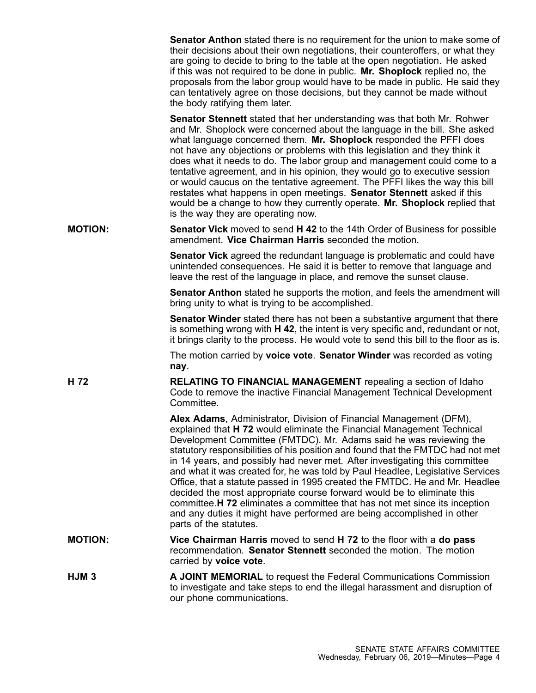|                  | <b>Senator Anthon</b> stated there is no requirement for the union to make some of<br>their decisions about their own negotiations, their counteroffers, or what they<br>are going to decide to bring to the table at the open negotiation. He asked<br>if this was not required to be done in public. Mr. Shoplock replied no, the<br>proposals from the labor group would have to be made in public. He said they<br>can tentatively agree on those decisions, but they cannot be made without<br>the body ratifying them later.                                                                                                                                                                                                                                                                                 |
|------------------|--------------------------------------------------------------------------------------------------------------------------------------------------------------------------------------------------------------------------------------------------------------------------------------------------------------------------------------------------------------------------------------------------------------------------------------------------------------------------------------------------------------------------------------------------------------------------------------------------------------------------------------------------------------------------------------------------------------------------------------------------------------------------------------------------------------------|
|                  | <b>Senator Stennett</b> stated that her understanding was that both Mr. Rohwer<br>and Mr. Shoplock were concerned about the language in the bill. She asked<br>what language concerned them. Mr. Shoplock responded the PFFI does<br>not have any objections or problems with this legislation and they think it<br>does what it needs to do. The labor group and management could come to a<br>tentative agreement, and in his opinion, they would go to executive session<br>or would caucus on the tentative agreement. The PFFI likes the way this bill<br>restates what happens in open meetings. Senator Stennett asked if this<br>would be a change to how they currently operate. Mr. Shoplock replied that<br>is the way they are operating now.                                                          |
| <b>MOTION:</b>   | <b>Senator Vick</b> moved to send H 42 to the 14th Order of Business for possible<br>amendment. Vice Chairman Harris seconded the motion.                                                                                                                                                                                                                                                                                                                                                                                                                                                                                                                                                                                                                                                                          |
|                  | <b>Senator Vick</b> agreed the redundant language is problematic and could have<br>unintended consequences. He said it is better to remove that language and<br>leave the rest of the language in place, and remove the sunset clause.                                                                                                                                                                                                                                                                                                                                                                                                                                                                                                                                                                             |
|                  | <b>Senator Anthon</b> stated he supports the motion, and feels the amendment will<br>bring unity to what is trying to be accomplished.                                                                                                                                                                                                                                                                                                                                                                                                                                                                                                                                                                                                                                                                             |
|                  | <b>Senator Winder</b> stated there has not been a substantive argument that there<br>is something wrong with H 42, the intent is very specific and, redundant or not,<br>it brings clarity to the process. He would vote to send this bill to the floor as is.                                                                                                                                                                                                                                                                                                                                                                                                                                                                                                                                                     |
|                  | The motion carried by voice vote. Senator Winder was recorded as voting<br>nay.                                                                                                                                                                                                                                                                                                                                                                                                                                                                                                                                                                                                                                                                                                                                    |
| H 72             | <b>RELATING TO FINANCIAL MANAGEMENT</b> repealing a section of Idaho<br>Code to remove the inactive Financial Management Technical Development<br>Committee.                                                                                                                                                                                                                                                                                                                                                                                                                                                                                                                                                                                                                                                       |
|                  | Alex Adams, Administrator, Division of Financial Management (DFM),<br>explained that H 72 would eliminate the Financial Management Technical<br>Development Committee (FMTDC). Mr. Adams said he was reviewing the<br>statutory responsibilities of his position and found that the FMTDC had not met<br>in 14 years, and possibly had never met. After investigating this committee<br>and what it was created for, he was told by Paul Headlee, Legislative Services<br>Office, that a statute passed in 1995 created the FMTDC. He and Mr. Headlee<br>decided the most appropriate course forward would be to eliminate this<br>committee. H 72 eliminates a committee that has not met since its inception<br>and any duties it might have performed are being accomplished in other<br>parts of the statutes. |
| <b>MOTION:</b>   | Vice Chairman Harris moved to send H 72 to the floor with a do pass<br>recommendation. Senator Stennett seconded the motion. The motion<br>carried by voice vote.                                                                                                                                                                                                                                                                                                                                                                                                                                                                                                                                                                                                                                                  |
| HJM <sub>3</sub> | A JOINT MEMORIAL to request the Federal Communications Commission<br>to investigate and take steps to end the illegal harassment and disruption of<br>our phone communications.                                                                                                                                                                                                                                                                                                                                                                                                                                                                                                                                                                                                                                    |